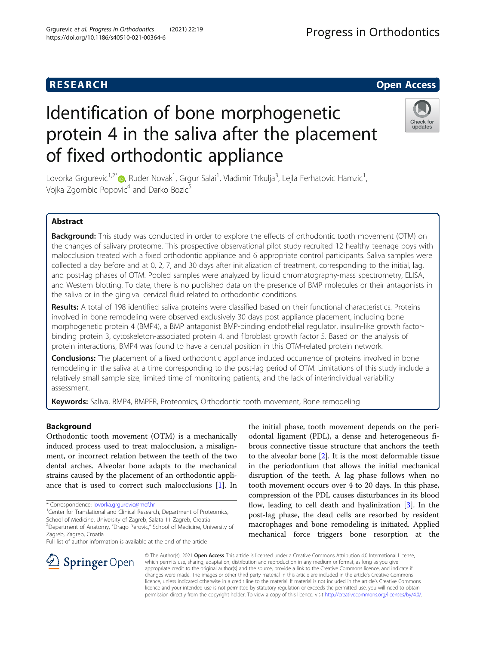# Identification of bone morphogenetic protein 4 in the saliva after the placement of fixed orthodontic appliance

Lovorka Grgurevic<sup>1,2[\\*](http://orcid.org/0000-0002-9814-3178)</sup>®, Ruder Novak<sup>1</sup>, Grgur Salai<sup>1</sup>, Vladimir Trkulja<sup>3</sup>, Lejla Ferhatovic Hamzic<sup>1</sup> , Vojka Zgombic Popovic<sup>4</sup> and Darko Bozic<sup>5</sup>

#### Abstract

**Background:** This study was conducted in order to explore the effects of orthodontic tooth movement (OTM) on the changes of salivary proteome. This prospective observational pilot study recruited 12 healthy teenage boys with malocclusion treated with a fixed orthodontic appliance and 6 appropriate control participants. Saliva samples were collected a day before and at 0, 2, 7, and 30 days after initialization of treatment, corresponding to the initial, lag, and post-lag phases of OTM. Pooled samples were analyzed by liquid chromatography-mass spectrometry, ELISA, and Western blotting. To date, there is no published data on the presence of BMP molecules or their antagonists in the saliva or in the gingival cervical fluid related to orthodontic conditions.

Results: A total of 198 identified saliva proteins were classified based on their functional characteristics. Proteins involved in bone remodeling were observed exclusively 30 days post appliance placement, including bone morphogenetic protein 4 (BMP4), a BMP antagonist BMP-binding endothelial regulator, insulin-like growth factorbinding protein 3, cytoskeleton-associated protein 4, and fibroblast growth factor 5. Based on the analysis of protein interactions, BMP4 was found to have a central position in this OTM-related protein network.

**Conclusions:** The placement of a fixed orthodontic appliance induced occurrence of proteins involved in bone remodeling in the saliva at a time corresponding to the post-lag period of OTM. Limitations of this study include a relatively small sample size, limited time of monitoring patients, and the lack of interindividual variability assessment.

Keywords: Saliva, BMP4, BMPER, Proteomics, Orthodontic tooth movement, Bone remodeling

#### Background

Orthodontic tooth movement (OTM) is a mechanically induced process used to treat malocclusion, a misalignment, or incorrect relation between the teeth of the two dental arches. Alveolar bone adapts to the mechanical strains caused by the placement of an orthodontic appliance that is used to correct such malocclusions [\[1](#page-6-0)]. In

\* Correspondence: [lovorka.grgurevic@mef.hr](mailto:lovorka.grgurevic@mef.hr) <sup>1</sup>

l SpringerOpen

<sup>1</sup> Center for Translational and Clinical Research, Department of Proteomics, School of Medicine, University of Zagreb, Salata 11 Zagreb, Croatia <sup>2</sup>Department of Anatomy, "Drago Perovic," School of Medicine, University of Zagreb, Zagreb, Croatia

Full list of author information is available at the end of the article

odontal ligament (PDL), a dense and heterogeneous fibrous connective tissue structure that anchors the teeth to the alveolar bone [[2\]](#page-6-0). It is the most deformable tissue in the periodontium that allows the initial mechanical disruption of the teeth. A lag phase follows when no tooth movement occurs over 4 to 20 days. In this phase, compression of the PDL causes disturbances in its blood flow, leading to cell death and hyalinization [\[3](#page-6-0)]. In the post-lag phase, the dead cells are resorbed by resident macrophages and bone remodeling is initiated. Applied mechanical force triggers bone resorption at the

© The Author(s). 2021 Open Access This article is licensed under a Creative Commons Attribution 4.0 International License, which permits use, sharing, adaptation, distribution and reproduction in any medium or format, as long as you give appropriate credit to the original author(s) and the source, provide a link to the Creative Commons licence, and indicate if changes were made. The images or other third party material in this article are included in the article's Creative Commons licence, unless indicated otherwise in a credit line to the material. If material is not included in the article's Creative Commons licence and your intended use is not permitted by statutory regulation or exceeds the permitted use, you will need to obtain permission directly from the copyright holder. To view a copy of this licence, visit <http://creativecommons.org/licenses/by/4.0/>.

the initial phase, tooth movement depends on the peri-



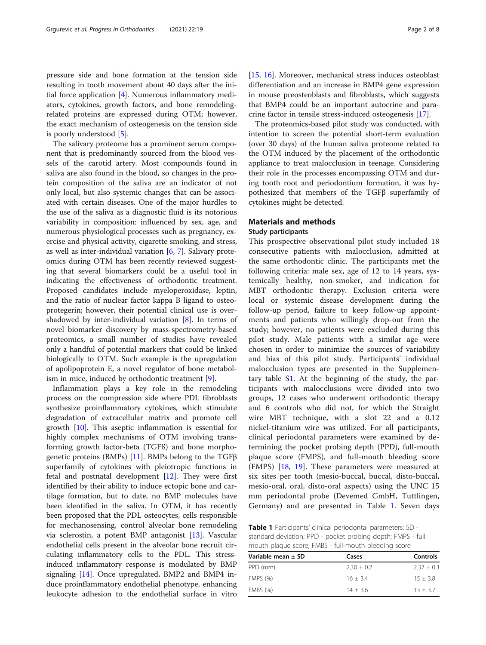pressure side and bone formation at the tension side resulting in tooth movement about 40 days after the initial force application [\[4](#page-6-0)]. Numerous inflammatory mediators, cytokines, growth factors, and bone remodelingrelated proteins are expressed during OTM; however, the exact mechanism of osteogenesis on the tension side is poorly understood [[5](#page-6-0)].

The salivary proteome has a prominent serum component that is predominantly sourced from the blood vessels of the carotid artery. Most compounds found in saliva are also found in the blood, so changes in the protein composition of the saliva are an indicator of not only local, but also systemic changes that can be associated with certain diseases. One of the major hurdles to the use of the saliva as a diagnostic fluid is its notorious variability in composition: influenced by sex, age, and numerous physiological processes such as pregnancy, exercise and physical activity, cigarette smoking, and stress, as well as inter-individual variation  $[6, 7]$  $[6, 7]$  $[6, 7]$  $[6, 7]$ . Salivary proteomics during OTM has been recently reviewed suggesting that several biomarkers could be a useful tool in indicating the effectiveness of orthodontic treatment. Proposed candidates include myeloperoxidase, leptin, and the ratio of nuclear factor kappa B ligand to osteoprotegerin; however, their potential clinical use is overshadowed by inter-individual variation  $[8]$  $[8]$ . In terms of novel biomarker discovery by mass-spectrometry-based proteomics, a small number of studies have revealed only a handful of potential markers that could be linked biologically to OTM. Such example is the upregulation of apolipoprotein E, a novel regulator of bone metabolism in mice, induced by orthodontic treatment [[9\]](#page-6-0).

Inflammation plays a key role in the remodeling process on the compression side where PDL fibroblasts synthesize proinflammatory cytokines, which stimulate degradation of extracellular matrix and promote cell growth [\[10](#page-6-0)]. This aseptic inflammation is essential for highly complex mechanisms of OTM involving transforming growth factor-beta (TGFß) and bone morphogenetic proteins (BMPs) [[11](#page-6-0)]. BMPs belong to the TGFβ superfamily of cytokines with pleiotropic functions in fetal and postnatal development  $[12]$  $[12]$ . They were first identified by their ability to induce ectopic bone and cartilage formation, but to date, no BMP molecules have been identified in the saliva. In OTM, it has recently been proposed that the PDL osteocytes, cells responsible for mechanosensing, control alveolar bone remodeling via sclerostin, a potent BMP antagonist [\[13](#page-6-0)]. Vascular endothelial cells present in the alveolar bone recruit circulating inflammatory cells to the PDL. This stressinduced inflammatory response is modulated by BMP signaling [\[14](#page-6-0)]. Once upregulated, BMP2 and BMP4 induce proinflammatory endothelial phenotype, enhancing leukocyte adhesion to the endothelial surface in vitro [[15,](#page-7-0) [16](#page-7-0)]. Moreover, mechanical stress induces osteoblast differentiation and an increase in BMP4 gene expression in mouse preosteoblasts and fibroblasts, which suggests that BMP4 could be an important autocrine and paracrine factor in tensile stress-induced osteogenesis [\[17\]](#page-7-0).

The proteomics-based pilot study was conducted, with intention to screen the potential short-term evaluation (over 30 days) of the human saliva proteome related to the OTM induced by the placement of the orthodontic appliance to treat malocclusion in teenage. Considering their role in the processes encompassing OTM and during tooth root and periodontium formation, it was hypothesized that members of the TGFβ superfamily of cytokines might be detected.

#### Materials and methods

#### Study participants

This prospective observational pilot study included 18 consecutive patients with malocclusion, admitted at the same orthodontic clinic. The participants met the following criteria: male sex, age of 12 to 14 years, systemically healthy, non-smoker, and indication for MBT orthodontic therapy. Exclusion criteria were local or systemic disease development during the follow-up period, failure to keep follow-up appointments and patients who willingly drop-out from the study; however, no patients were excluded during this pilot study. Male patients with a similar age were chosen in order to minimize the sources of variability and bias of this pilot study. Participants' individual malocclusion types are presented in the Supplementary table S[1.](#page-6-0) At the beginning of the study, the participants with malocclusions were divided into two groups, 12 cases who underwent orthodontic therapy and 6 controls who did not, for which the Straight wire MBT technique, with a slot 22 and a 0.12 nickel-titanium wire was utilized. For all participants, clinical periodontal parameters were examined by determining the pocket probing depth (PPD), full-mouth plaque score (FMPS), and full-mouth bleeding score (FMPS) [\[18](#page-7-0), [19](#page-7-0)]. These parameters were measured at six sites per tooth (mesio-buccal, buccal, disto-buccal, mesio-oral, oral, disto-oral aspects) using the UNC 15 mm periodontal probe (Devemed GmbH, Tuttlingen, Germany) and are presented in Table 1. Seven days

Table 1 Participants' clinical periodontal parameters: SD standard deviation; PPD - pocket probing depth; FMPS - full mouth plaque score, FMBS - full-mouth bleeding score

| Variable mean $\pm$ SD | Cases          | <b>Controls</b> |
|------------------------|----------------|-----------------|
| PPD (mm)               | $2.30 \pm 0.2$ | $2.32 + 0.3$    |
| <b>FMPS (%)</b>        | $16 + 3.4$     | $15 + 3.8$      |
| <b>FMBS (%)</b>        | $14 + 3.6$     | $13 + 3.7$      |
|                        |                |                 |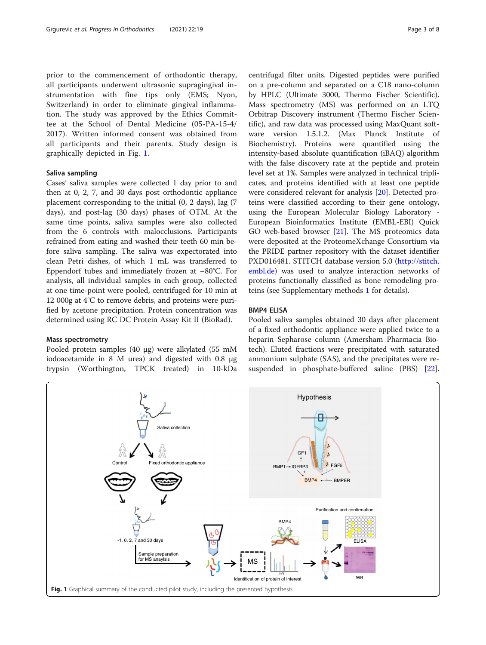<span id="page-2-0"></span>prior to the commencement of orthodontic therapy, all participants underwent ultrasonic supragingival instrumentation with fine tips only (EMS; Nyon, Switzerland) in order to eliminate gingival inflammation. The study was approved by the Ethics Committee at the School of Dental Medicine (05-PA-15-4/ 2017). Written informed consent was obtained from all participants and their parents. Study design is graphically depicted in Fig. 1.

#### Saliva sampling

Cases' saliva samples were collected 1 day prior to and then at 0, 2, 7, and 30 days post orthodontic appliance placement corresponding to the initial (0, 2 days), lag (7 days), and post-lag (30 days) phases of OTM. At the same time points, saliva samples were also collected from the 6 controls with malocclusions. Participants refrained from eating and washed their teeth 60 min before saliva sampling. The saliva was expectorated into clean Petri dishes, of which 1 mL was transferred to Eppendorf tubes and immediately frozen at –80°C. For analysis, all individual samples in each group, collected at one time-point were pooled, centrifuged for 10 min at 12 000g at 4°C to remove debris, and proteins were purified by acetone precipitation. Protein concentration was determined using RC DC Protein Assay Kit II (BioRad).

#### Mass spectrometry

Pooled protein samples (40 μg) were alkylated (55 mM iodoacetamide in 8 M urea) and digested with 0.8 μg trypsin (Worthington, TPCK treated) in 10-kDa centrifugal filter units. Digested peptides were purified on a pre-column and separated on a C18 nano-column by HPLC (Ultimate 3000, Thermo Fischer Scientific). Mass spectrometry (MS) was performed on an LTQ Orbitrap Discovery instrument (Thermo Fischer Scientific), and raw data was processed using MaxQuant software version 1.5.1.2. (Max Planck Institute of Biochemistry). Proteins were quantified using the intensity-based absolute quantification (iBAQ) algorithm with the false discovery rate at the peptide and protein level set at 1%. Samples were analyzed in technical triplicates, and proteins identified with at least one peptide were considered relevant for analysis [\[20\]](#page-7-0). Detected proteins were classified according to their gene ontology, using the European Molecular Biology Laboratory - European Bioinformatics Institute (EMBL-EBI) Quick GO web-based browser [[21\]](#page-7-0). The MS proteomics data were deposited at the ProteomeXchange Consortium via the PRIDE partner repository with the dataset identifier PXD016481. STITCH database version 5.0 [\(http://stitch.](http://stitch.embl.de) [embl.de\)](http://stitch.embl.de) was used to analyze interaction networks of proteins functionally classified as bone remodeling proteins (see Supplementary methods [1](#page-6-0) for details).

#### BMP4 ELISA

Pooled saliva samples obtained 30 days after placement of a fixed orthodontic appliance were applied twice to a heparin Sepharose column (Amersham Pharmacia Biotech). Eluted fractions were precipitated with saturated ammonium sulphate (SAS), and the precipitates were resuspended in phosphate-buffered saline (PBS) [\[22](#page-7-0)].

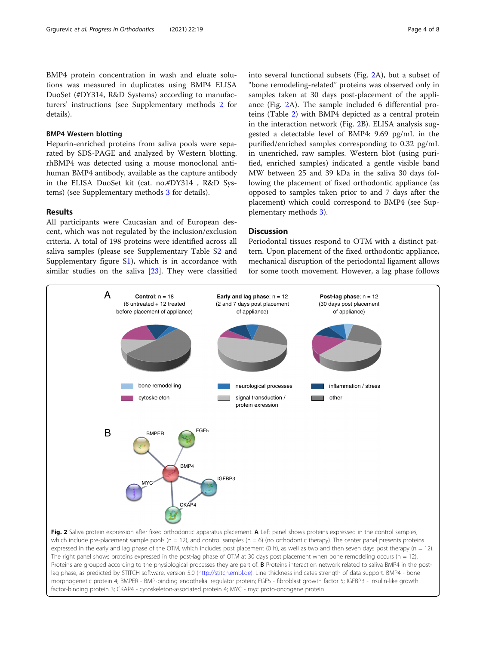BMP4 protein concentration in wash and eluate solutions was measured in duplicates using BMP4 ELISA DuoSet (#DY314, R&D Systems) according to manufacturers' instructions (see Supplementary methods [2](#page-6-0) for details).

#### BMP4 Western blotting

Heparin-enriched proteins from saliva pools were separated by SDS-PAGE and analyzed by Western blotting. rhBMP4 was detected using a mouse monoclonal antihuman BMP4 antibody, available as the capture antibody in the ELISA DuoSet kit (cat. no.#DY314 , R&D Systems) (see Supplementary methods [3](#page-6-0) for details).

#### Results

All participants were Caucasian and of European descent, which was not regulated by the inclusion/exclusion criteria. A total of 198 proteins were identified across all saliva samples (please see Supplementary Table [S2](#page-6-0) and Supplementary figure S[1](#page-6-0)), which is in accordance with similar studies on the saliva [[23\]](#page-7-0). They were classified

into several functional subsets (Fig. 2A), but a subset of "bone remodeling-related" proteins was observed only in samples taken at 30 days post-placement of the appliance (Fig. 2A). The sample included 6 differential proteins (Table [2](#page-4-0)) with BMP4 depicted as a central protein in the interaction network (Fig. 2B). ELISA analysis suggested a detectable level of BMP4: 9.69 pg/mL in the purified/enriched samples corresponding to 0.32 pg/mL in unenriched, raw samples. Western blot (using purified, enriched samples) indicated a gentle visible band MW between 25 and 39 kDa in the saliva 30 days following the placement of fixed orthodontic appliance (as opposed to samples taken prior to and 7 days after the placement) which could correspond to BMP4 (see Supplementary methods [3\)](#page-6-0).

#### **Discussion**

Periodontal tissues respond to OTM with a distinct pattern. Upon placement of the fixed orthodontic appliance, mechanical disruption of the periodontal ligament allows for some tooth movement. However, a lag phase follows

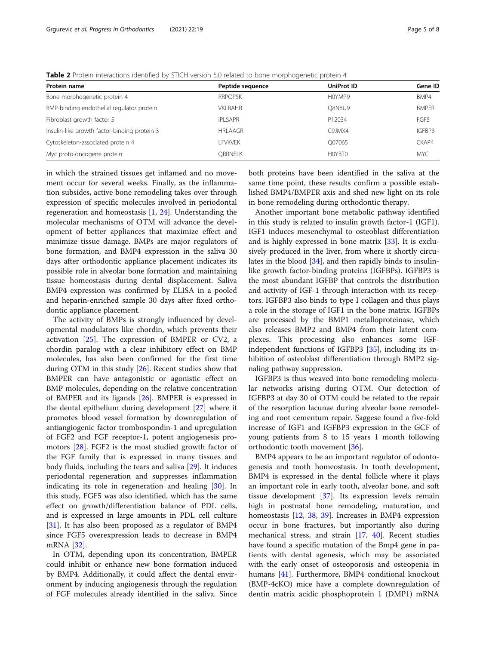<span id="page-4-0"></span>Table 2 Protein interactions identified by STICH version 5.0 related to bone morphogenetic protein 4

| Protein name                                 | Peptide sequence | UniProt ID    | Gene ID      |  |
|----------------------------------------------|------------------|---------------|--------------|--|
| Bone morphogenetic protein 4                 | <b>RRPOPSK</b>   | H0YMP9        | BMP4         |  |
| BMP-binding endothelial regulator protein    | VKI RAHR         | <b>O8N8U9</b> | <b>BMPER</b> |  |
| Fibroblast growth factor 5                   | <b>IPI SAPR</b>  | P12034        | FGF5         |  |
| Insulin-like growth factor-binding protein 3 | <b>HRLAAGR</b>   | C9JMX4        | IGFBP3       |  |
| Cytoskeleton-associated protein 4            | I FVKVFK         | O07065        | CKAP4        |  |
| Myc proto-oncogene protein                   | ORRNELK          | HOYBTO        | <b>MYC</b>   |  |

in which the strained tissues get inflamed and no movement occur for several weeks. Finally, as the inflammation subsides, active bone remodeling takes over through expression of specific molecules involved in periodontal regeneration and homeostasis [\[1](#page-6-0), [24](#page-7-0)]. Understanding the molecular mechanisms of OTM will advance the development of better appliances that maximize effect and minimize tissue damage. BMPs are major regulators of bone formation, and BMP4 expression in the saliva 30 days after orthodontic appliance placement indicates its possible role in alveolar bone formation and maintaining tissue homeostasis during dental displacement. Saliva BMP4 expression was confirmed by ELISA in a pooled and heparin-enriched sample 30 days after fixed orthodontic appliance placement.

The activity of BMPs is strongly influenced by developmental modulators like chordin, which prevents their activation [[25\]](#page-7-0). The expression of BMPER or CV2, a chordin paralog with a clear inhibitory effect on BMP molecules, has also been confirmed for the first time during OTM in this study [\[26\]](#page-7-0). Recent studies show that BMPER can have antagonistic or agonistic effect on BMP molecules, depending on the relative concentration of BMPER and its ligands [\[26](#page-7-0)]. BMPER is expressed in the dental epithelium during development [[27\]](#page-7-0) where it promotes blood vessel formation by downregulation of antiangiogenic factor trombospondin-1 and upregulation of FGF2 and FGF receptor-1, potent angiogenesis promotors [[28\]](#page-7-0). FGF2 is the most studied growth factor of the FGF family that is expressed in many tissues and body fluids, including the tears and saliva [\[29\]](#page-7-0). It induces periodontal regeneration and suppresses inflammation indicating its role in regeneration and healing [\[30\]](#page-7-0). In this study, FGF5 was also identified, which has the same effect on growth/differentiation balance of PDL cells, and is expressed in large amounts in PDL cell culture [[31\]](#page-7-0). It has also been proposed as a regulator of BMP4 since FGF5 overexpression leads to decrease in BMP4 mRNA [\[32](#page-7-0)].

In OTM, depending upon its concentration, BMPER could inhibit or enhance new bone formation induced by BMP4. Additionally, it could affect the dental environment by inducing angiogenesis through the regulation of FGF molecules already identified in the saliva. Since both proteins have been identified in the saliva at the same time point, these results confirm a possible established BMP4/BMPER axis and shed new light on its role in bone remodeling during orthodontic therapy.

Another important bone metabolic pathway identified in this study is related to insulin growth factor-1 (IGF1). IGF1 induces mesenchymal to osteoblast differentiation and is highly expressed in bone matrix [[33](#page-7-0)]. It is exclusively produced in the liver, from where it shortly circulates in the blood [\[34](#page-7-0)], and then rapidly binds to insulinlike growth factor-binding proteins (IGFBPs). IGFBP3 is the most abundant IGFBP that controls the distribution and activity of IGF-1 through interaction with its receptors. IGFBP3 also binds to type I collagen and thus plays a role in the storage of IGF1 in the bone matrix. IGFBPs are processed by the BMP1 metalloproteinase, which also releases BMP2 and BMP4 from their latent complexes. This processing also enhances some IGFindependent functions of IGFBP3 [\[35](#page-7-0)], including its inhibition of osteoblast differentiation through BMP2 signaling pathway suppression.

IGFBP3 is thus weaved into bone remodeling molecular networks arising during OTM. Our detection of IGFBP3 at day 30 of OTM could be related to the repair of the resorption lacunae during alveolar bone remodeling and root cementum repair. Saggese found a five-fold increase of IGF1 and IGFBP3 expression in the GCF of young patients from 8 to 15 years 1 month following orthodontic tooth movement [\[36](#page-7-0)].

BMP4 appears to be an important regulator of odontogenesis and tooth homeostasis. In tooth development, BMP4 is expressed in the dental follicle where it plays an important role in early tooth, alveolar bone, and soft tissue development [\[37](#page-7-0)]. Its expression levels remain high in postnatal bone remodeling, maturation, and homeostasis [\[12](#page-6-0), [38](#page-7-0), [39](#page-7-0)]. Increases in BMP4 expression occur in bone fractures, but importantly also during mechanical stress, and strain  $[17, 40]$  $[17, 40]$  $[17, 40]$  $[17, 40]$  $[17, 40]$ . Recent studies have found a specific mutation of the Bmp4 gene in patients with dental agenesis, which may be associated with the early onset of osteoporosis and osteopenia in humans [\[41\]](#page-7-0). Furthermore, BMP4 conditional knockout (BMP-4cKO) mice have a complete downregulation of dentin matrix acidic phosphoprotein 1 (DMP1) mRNA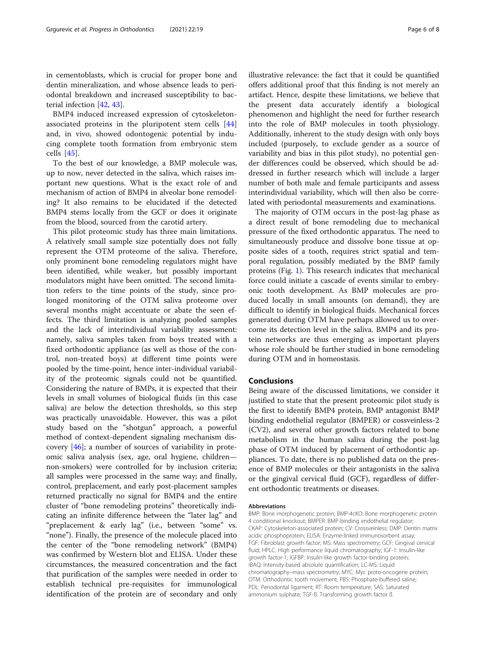in cementoblasts, which is crucial for proper bone and dentin mineralization, and whose absence leads to periodontal breakdown and increased susceptibility to bacterial infection [\[42](#page-7-0), [43](#page-7-0)].

BMP4 induced increased expression of cytoskeletonassociated proteins in the pluripotent stem cells [\[44](#page-7-0)] and, in vivo, showed odontogenic potential by inducing complete tooth formation from embryonic stem cells [[45](#page-7-0)].

To the best of our knowledge, a BMP molecule was, up to now, never detected in the saliva, which raises important new questions. What is the exact role of and mechanism of action of BMP4 in alveolar bone remodeling? It also remains to be elucidated if the detected BMP4 stems locally from the GCF or does it originate from the blood, sourced from the carotid artery.

This pilot proteomic study has three main limitations. A relatively small sample size potentially does not fully represent the OTM proteome of the saliva. Therefore, only prominent bone remodeling regulators might have been identified, while weaker, but possibly important modulators might have been omitted. The second limitation refers to the time points of the study, since prolonged monitoring of the OTM saliva proteome over several months might accentuate or abate the seen effects. The third limitation is analyzing pooled samples and the lack of interindividual variability assessment: namely, saliva samples taken from boys treated with a fixed orthodontic appliance (as well as those of the control, non-treated boys) at different time points were pooled by the time-point, hence inter-individual variability of the proteomic signals could not be quantified. Considering the nature of BMPs, it is expected that their levels in small volumes of biological fluids (in this case saliva) are below the detection thresholds, so this step was practically unavoidable. However, this was a pilot study based on the "shotgun" approach, a powerful method of context-dependent signaling mechanism discovery [\[46\]](#page-7-0); a number of sources of variability in proteomic saliva analysis (sex, age, oral hygiene, children non-smokers) were controlled for by inclusion criteria; all samples were processed in the same way; and finally, control, preplacement, and early post-placement samples returned practically no signal for BMP4 and the entire cluster of "bone remodeling proteins" theoretically indicating an infinite difference between the "later lag" and "preplacement & early lag" (i.e., between "some" vs. "none"). Finally, the presence of the molecule placed into the center of the "bone remodeling network" (BMP4) was confirmed by Western blot and ELISA. Under these circumstances, the measured concentration and the fact that purification of the samples were needed in order to establish technical pre-requisites for immunological identification of the protein are of secondary and only illustrative relevance: the fact that it could be quantified offers additional proof that this finding is not merely an artifact. Hence, despite these limitations, we believe that the present data accurately identify a biological phenomenon and highlight the need for further research into the role of BMP molecules in tooth physiology. Additionally, inherent to the study design with only boys included (purposely, to exclude gender as a source of variability and bias in this pilot study), no potential gender differences could be observed, which should be addressed in further research which will include a larger number of both male and female participants and assess interindividual variability, which will then also be correlated with periodontal measurements and examinations.

The majority of OTM occurs in the post-lag phase as a direct result of bone remodeling due to mechanical pressure of the fixed orthodontic apparatus. The need to simultaneously produce and dissolve bone tissue at opposite sides of a tooth, requires strict spatial and temporal regulation, possibly mediated by the BMP family proteins (Fig. [1](#page-2-0)). This research indicates that mechanical force could initiate a cascade of events similar to embryonic tooth development. As BMP molecules are produced locally in small amounts (on demand), they are difficult to identify in biological fluids. Mechanical forces generated during OTM have perhaps allowed us to overcome its detection level in the saliva. BMP4 and its protein networks are thus emerging as important players whose role should be further studied in bone remodeling during OTM and in homeostasis.

#### Conclusions

Being aware of the discussed limitations, we consider it justified to state that the present proteomic pilot study is the first to identify BMP4 protein, BMP antagonist BMP binding endothelial regulator (BMPER) or cossveinless-2 (CV2), and several other growth factors related to bone metabolism in the human saliva during the post-lag phase of OTM induced by placement of orthodontic appliances. To date, there is no published data on the presence of BMP molecules or their antagonists in the saliva or the gingival cervical fluid (GCF), regardless of different orthodontic treatments or diseases.

#### Abbreviations

BMP: Bone morphogenetic protein; BMP-4cKO: Bone morphogenetic protein 4 conditional knockout; BMPER: BMP-binding endothelial regulator; CKAP: Cytoskeleton-associated protein; CV: Crossveinless; DMP: Dentin matrix acidic phosphoprotein; ELISA: Enzyme-linked immunosorbent assay; FGF: Fibroblast growth factor; MS: Mass spectrometry; GCF: Gingival cervical fluid; HPLC: High performance liquid chromatography; IGF-1: Insulin-like growth factor-1; IGFBP: Insulin-like growth factor-binding protein; iBAQ: Intensity-based absolute quantification; LC-MS: Liquid chromatography–mass spectrometry; MYC: Myc proto-oncogene protein; OTM: Orthodontic tooth movement; PBS: Phosphate-buffered saline; PDL: Periodontal ligament; RT: Room temperature; SAS: Saturated ammonium sulphate; TGF-ß: Transforming growth factor ß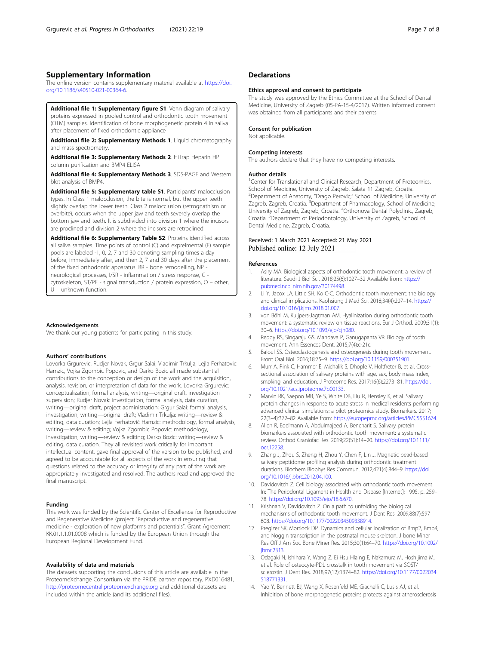#### <span id="page-6-0"></span>Supplementary Information

The online version contains supplementary material available at [https://doi.](https://doi.org/10.1186/s40510-021-00364-6) [org/10.1186/s40510-021-00364-6.](https://doi.org/10.1186/s40510-021-00364-6)

Additional file 1: Supplementary figure S1. Venn diagram of salivary proteins expressed in pooled control and orthodontic tooth movement (OTM) samples. Identification of bone morphogenetic protein 4 in saliva after placement of fixed orthodontic appliance

Additional file 2: Supplementary Methods 1. Liquid chromatography and mass spectrometry.

Additional file 3: Supplementary Methods 2. HiTrap Heparin HP column purification and BMP4 ELISA

Additional file 4: Supplementary Methods 3. SDS-PAGE and Western blot analysis of BMP4.

Additional file 5: Supplementary table S1. Participants' malocclusion types. In Class 1 malocclusion, the bite is normal, but the upper teeth slightly overlap the lower teeth. Class 2 malocclusion (retrognathism or overbite), occurs when the upper jaw and teeth severely overlap the bottom jaw and teeth. It is subdivided into division 1 where the incisors are proclined and division 2 where the incisors are retroclined

Additional file 6: Supplementary Table S2. Proteins identified across all saliva samples. Time points of control (C) and expreimental (E) sample pools are labeled -1, 0, 2, 7 and 30 denoting sampling times a day before, immediately after, and then 2, 7 and 30 days after the placement of the fixed orthodontic apparatus. BR - bone remodelling, NP neurological processes, I/SR - inflammation / stress response, C cytoskeleton, ST/PE - signal transduction / protein expression, O – other, U – unknown function.

#### Acknowledgements

We thank our young patients for participating in this study.

#### Authors' contributions

Lovorka Grgurevic, Rudjer Novak, Grgur Salai, Vladimir Trkulja, Lejla Ferhatovic Hamzic, Vojka Zgombic Popovic, and Darko Bozic all made substantial contributions to the conception or design of the work and the acquisition, analysis, revision, or interpretation of data for the work. Lovorka Grgurevic: conceptualization, formal analysis, writing—original draft, investigation supervision; Rudjer Novak: investigation, formal analysis, data curation, writing—original draft, project administration; Grgur Salai: formal analysis, investigation, writing—original draft; Vladimir Trkulja: writing—review & editing, data curation; Lejla Ferhatović Hamzic: methodology, formal analysis, writing—review & editing; Vojka Zgombic Popovic: methodology, investigation, writing—review & editing; Darko Bozic: writing—review & editing, data curation. They all revisited work critically for important intellectual content, gave final approval of the version to be published, and agreed to be accountable for all aspects of the work in ensuring that questions related to the accuracy or integrity of any part of the work are appropriately investigated and resolved. The authors read and approved the final manuscript.

#### Funding

This work was funded by the Scientific Center of Excellence for Reproductive and Regenerative Medicine (project "Reproductive and regenerative medicine - exploration of new platforms and potentials", Grant Agreement KK.01.1.1.01.0008 which is funded by the European Union through the European Regional Development Fund.

#### Availability of data and materials

The datasets supporting the conclusions of this article are available in the ProteomeXchange Consortium via the PRIDE partner repository, PXD016481, <http://proteomecentral.proteomexchange.org> and additional datasets are included within the article (and its additional files).

#### **Declarations**

#### Ethics approval and consent to participate

The study was approved by the Ethics Committee at the School of Dental Medicine, University of Zagreb (05-PA-15-4/2017). Written informed consent was obtained from all participants and their parents.

#### Consent for publication

Not applicable.

#### Competing interests

The authors declare that they have no competing interests.

#### Author details

<sup>1</sup> Center for Translational and Clinical Research, Department of Proteomics School of Medicine, University of Zagreb, Salata 11 Zagreb, Croatia. <sup>2</sup>Department of Anatomy, "Drago Perovic," School of Medicine, University of Zagreb, Zagreb, Croatia. <sup>3</sup>Department of Pharmacology, School of Medicine University of Zagreb, Zagreb, Croatia. <sup>4</sup>Orthonova Dental Polyclinic, Zagreb, Croatia. <sup>5</sup> Department of Periodontology, University of Zagreb, School of Dental Medicine, Zagreb, Croatia.

## Received: 1 March 2021 Accepted: 21 May 2021<br>Published online: 12 July 2021

#### References

- 1. Asiry MA. Biological aspects of orthodontic tooth movement: a review of literature. Saudi J Biol Sci. 2018;25(6):1027–32 Available from: [https://](https://pubmed.ncbi.nlm.nih.gov/30174498) [pubmed.ncbi.nlm.nih.gov/30174498.](https://pubmed.ncbi.nlm.nih.gov/30174498)
- 2. Li Y, Jacox LA, Little SH, Ko C-C. Orthodontic tooth movement: the biology and clinical implications. Kaohsiung J Med Sci. 2018;34(4):207–14. [https://](https://doi.org/10.1016/j.kjms.2018.01.007) [doi.org/10.1016/j.kjms.2018.01.007](https://doi.org/10.1016/j.kjms.2018.01.007).
- 3. von Böhl M, Kuijpers-Jagtman AM. Hyalinization during orthodontic tooth movement: a systematic review on tissue reactions. Eur J Orthod. 2009;31(1): 30–6. [https://doi.org/10.1093/ejo/cjn080.](https://doi.org/10.1093/ejo/cjn080)
- 4. Reddy RS, Singaraju GS, Mandava P, Ganugapanta VR. Biology of tooth movement. Ann Essences Dent. 2015;7(4):c-21c.
- 5. Baloul SS. Osteoclastogenesis and osteogenesis during tooth movement. Front Oral Biol. 2016;18:75–9. <https://doi.org/10.1159/000351901>.
- 6. Murr A, Pink C, Hammer E, Michalik S, Dhople V, Holtfreter B, et al. Crosssectional association of salivary proteins with age, sex, body mass index, smoking, and education. J Proteome Res. 2017;16(6):2273–81. [https://doi.](https://doi.org/10.1021/acs.jproteome.7b00133) [org/10.1021/acs.jproteome.7b00133](https://doi.org/10.1021/acs.jproteome.7b00133).
- 7. Marvin RK, Saepoo MB, Ye S, White DB, Liu R, Hensley K, et al. Salivary protein changes in response to acute stress in medical residents performing advanced clinical simulations: a pilot proteomics study. Biomarkers. 2017; 22(3–4):372–82 Available from: [https://europepmc.org/articles/PMC5551674.](https://europepmc.org/articles/PMC5551674)
- Allen R, Edelmann A, Abdulmajeed A, Bencharit S. Salivary protein biomarkers associated with orthodontic tooth movement: a systematic review. Orthod Craniofac Res. 2019;22(S1):14–20. [https://doi.org/10.1111/](https://doi.org/10.1111/ocr.12258) [ocr.12258.](https://doi.org/10.1111/ocr.12258)
- 9. Zhang J, Zhou S, Zheng H, Zhou Y, Chen F, Lin J. Magnetic bead-based salivary peptidome profiling analysis during orthodontic treatment durations. Biochem Biophys Res Commun. 2012;421(4):844–9. [https://doi.](https://doi.org/10.1016/j.bbrc.2012.04.100) [org/10.1016/j.bbrc.2012.04.100.](https://doi.org/10.1016/j.bbrc.2012.04.100)
- 10. Davidovitch Z. Cell biology associated with orthodontic tooth movement. In: The Periodontal Ligament in Health and Disease [Internet]; 1995. p. 259– 78. <https://doi.org/10.1093/ejo/18.6.670>.
- 11. Krishnan V, Davidovitch Z. On a path to unfolding the biological mechanisms of orthodontic tooth movement. J Dent Res. 2009;88(7):597– 608. <https://doi.org/10.1177/0022034509338914>.
- 12. Pregizer SK, Mortlock DP. Dynamics and cellular localization of Bmp2, Bmp4, and Noggin transcription in the postnatal mouse skeleton. J bone Miner Res Off J Am Soc Bone Miner Res. 2015;30(1):64–70. [https://doi.org/10.1002/](https://doi.org/10.1002/jbmr.2313) [jbmr.2313.](https://doi.org/10.1002/jbmr.2313)
- 13. Odagaki N, Ishihara Y, Wang Z, Ei Hsu Hlaing E, Nakamura M, Hoshijima M, et al. Role of osteocyte-PDL crosstalk in tooth movement via SOST/ sclerostin. J Dent Res. 2018;97(12):1374–82. [https://doi.org/10.1177/0022034](https://doi.org/10.1177/0022034518771331) [518771331](https://doi.org/10.1177/0022034518771331).
- 14. Yao Y, Bennett BJ, Wang X, Rosenfeld ME, Giachelli C, Lusis AJ, et al. Inhibition of bone morphogenetic proteins protects against atherosclerosis